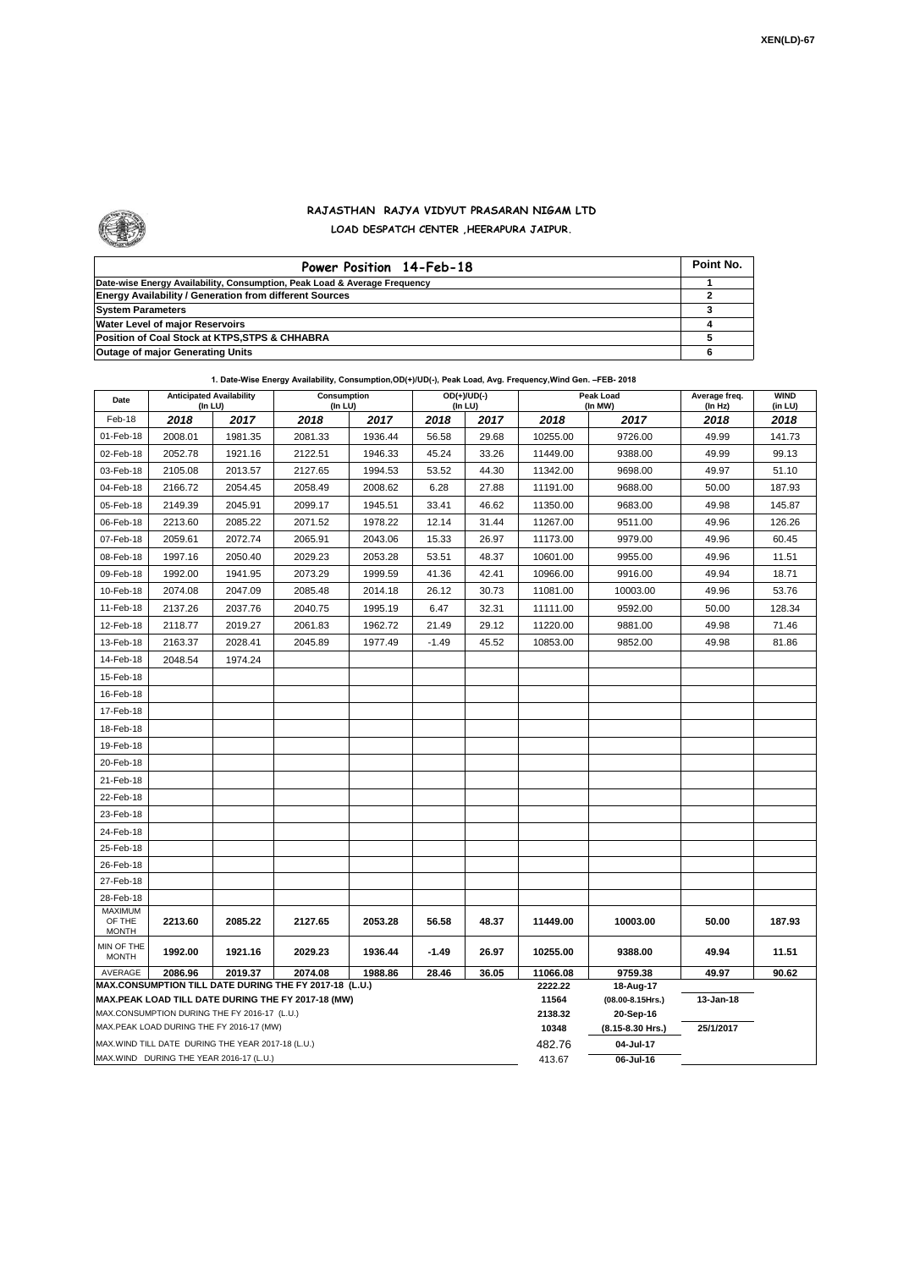

## **RAJASTHAN RAJYA VIDYUT PRASARAN NIGAM LTD LOAD DESPATCH CENTER ,HEERAPURA JAIPUR.**

| Power Position 14-Feb-18                                                  | Point No. |
|---------------------------------------------------------------------------|-----------|
| Date-wise Energy Availability, Consumption, Peak Load & Average Frequency |           |
| <b>Energy Availability / Generation from different Sources</b>            |           |
| <b>System Parameters</b>                                                  |           |
| Water Level of major Reservoirs                                           |           |
| Position of Coal Stock at KTPS, STPS & CHHABRA                            |           |
| <b>Outage of major Generating Units</b>                                   |           |

| Date                                                                                                         | <b>Anticipated Availability</b><br>(In LU) |         | Consumption<br>(In LU) |         | $OD(+)/UD(-)$<br>(In LU) |       |                  | Peak Load<br>(In MW)          | Average freq.<br>(In Hz) | <b>WIND</b><br>(in LU) |
|--------------------------------------------------------------------------------------------------------------|--------------------------------------------|---------|------------------------|---------|--------------------------|-------|------------------|-------------------------------|--------------------------|------------------------|
| Feb-18                                                                                                       | 2018                                       | 2017    | 2018                   | 2017    | 2018                     | 2017  | 2018             | 2017                          | 2018                     | 2018                   |
| 01-Feb-18                                                                                                    | 2008.01                                    | 1981.35 | 2081.33                | 1936.44 | 56.58                    | 29.68 | 10255.00         | 9726.00                       | 49.99                    | 141.73                 |
| 02-Feb-18                                                                                                    | 2052.78                                    | 1921.16 | 2122.51                | 1946.33 | 45.24                    | 33.26 | 11449.00         | 9388.00                       | 49.99                    | 99.13                  |
| 03-Feb-18                                                                                                    | 2105.08                                    | 2013.57 | 2127.65                | 1994.53 | 53.52                    | 44.30 | 11342.00         | 9698.00                       | 49.97                    | 51.10                  |
| 04-Feb-18                                                                                                    | 2166.72                                    | 2054.45 | 2058.49                | 2008.62 | 6.28                     | 27.88 | 11191.00         | 9688.00                       | 50.00                    | 187.93                 |
| 05-Feb-18                                                                                                    | 2149.39                                    | 2045.91 | 2099.17                | 1945.51 | 33.41                    | 46.62 | 11350.00         | 9683.00                       | 49.98                    | 145.87                 |
| 06-Feb-18                                                                                                    | 2213.60                                    | 2085.22 | 2071.52                | 1978.22 | 12.14                    | 31.44 | 11267.00         | 9511.00                       | 49.96                    | 126.26                 |
| 07-Feb-18                                                                                                    | 2059.61                                    | 2072.74 | 2065.91                | 2043.06 | 15.33                    | 26.97 | 11173.00         | 9979.00                       | 49.96                    | 60.45                  |
| 08-Feb-18                                                                                                    | 1997.16                                    | 2050.40 | 2029.23                | 2053.28 | 53.51                    | 48.37 | 10601.00         | 9955.00                       | 49.96                    | 11.51                  |
| 09-Feb-18                                                                                                    | 1992.00                                    | 1941.95 | 2073.29                | 1999.59 | 41.36                    | 42.41 | 10966.00         | 9916.00                       | 49.94                    | 18.71                  |
| 10-Feb-18                                                                                                    | 2074.08                                    | 2047.09 | 2085.48                | 2014.18 | 26.12                    | 30.73 | 11081.00         | 10003.00                      | 49.96                    | 53.76                  |
| 11-Feb-18                                                                                                    | 2137.26                                    | 2037.76 | 2040.75                | 1995.19 | 6.47                     | 32.31 | 11111.00         | 9592.00                       | 50.00                    | 128.34                 |
| 12-Feb-18                                                                                                    | 2118.77                                    | 2019.27 | 2061.83                | 1962.72 | 21.49                    | 29.12 | 11220.00         | 9881.00                       | 49.98                    | 71.46                  |
| 13-Feb-18                                                                                                    | 2163.37                                    | 2028.41 | 2045.89                | 1977.49 | $-1.49$                  | 45.52 | 10853.00         | 9852.00                       | 49.98                    | 81.86                  |
| 14-Feb-18                                                                                                    | 2048.54                                    | 1974.24 |                        |         |                          |       |                  |                               |                          |                        |
| 15-Feb-18                                                                                                    |                                            |         |                        |         |                          |       |                  |                               |                          |                        |
| 16-Feb-18                                                                                                    |                                            |         |                        |         |                          |       |                  |                               |                          |                        |
| 17-Feb-18                                                                                                    |                                            |         |                        |         |                          |       |                  |                               |                          |                        |
| 18-Feb-18                                                                                                    |                                            |         |                        |         |                          |       |                  |                               |                          |                        |
| 19-Feb-18                                                                                                    |                                            |         |                        |         |                          |       |                  |                               |                          |                        |
| 20-Feb-18                                                                                                    |                                            |         |                        |         |                          |       |                  |                               |                          |                        |
| 21-Feb-18                                                                                                    |                                            |         |                        |         |                          |       |                  |                               |                          |                        |
| 22-Feb-18                                                                                                    |                                            |         |                        |         |                          |       |                  |                               |                          |                        |
| 23-Feb-18                                                                                                    |                                            |         |                        |         |                          |       |                  |                               |                          |                        |
| 24-Feb-18                                                                                                    |                                            |         |                        |         |                          |       |                  |                               |                          |                        |
| 25-Feb-18                                                                                                    |                                            |         |                        |         |                          |       |                  |                               |                          |                        |
| 26-Feb-18                                                                                                    |                                            |         |                        |         |                          |       |                  |                               |                          |                        |
| 27-Feb-18                                                                                                    |                                            |         |                        |         |                          |       |                  |                               |                          |                        |
| 28-Feb-18                                                                                                    |                                            |         |                        |         |                          |       |                  |                               |                          |                        |
| MAXIMUM<br>OF THE                                                                                            | 2213.60                                    | 2085.22 | 2127.65                | 2053.28 | 56.58                    | 48.37 | 11449.00         | 10003.00                      | 50.00                    | 187.93                 |
| <b>MONTH</b>                                                                                                 |                                            |         |                        |         |                          |       |                  |                               |                          |                        |
| MIN OF THE<br><b>MONTH</b>                                                                                   | 1992.00                                    | 1921.16 | 2029.23                | 1936.44 | $-1.49$                  | 26.97 | 10255.00         | 9388.00                       | 49.94                    | 11.51                  |
| 2019.37<br>2074.08<br>28.46<br>36.05<br>AVERAGE<br>2086.96<br>1988.86                                        |                                            |         |                        |         |                          |       | 11066.08         | 9759.38                       | 49.97                    | 90.62                  |
| MAX.CONSUMPTION TILL DATE DURING THE FY 2017-18 (L.U.)<br>MAX.PEAK LOAD TILL DATE DURING THE FY 2017-18 (MW) |                                            |         |                        |         |                          |       | 2222.22          | 18-Aug-17                     |                          |                        |
| MAX.CONSUMPTION DURING THE FY 2016-17 (L.U.)                                                                 |                                            |         |                        |         |                          |       | 11564<br>2138.32 | (08.00-8.15Hrs.)<br>20-Sep-16 | 13-Jan-18                |                        |
| MAX.PEAK LOAD DURING THE FY 2016-17 (MW)                                                                     |                                            |         |                        |         |                          |       |                  | (8.15-8.30 Hrs.)              | 25/1/2017                |                        |
| MAX.WIND TILL DATE DURING THE YEAR 2017-18 (L.U.)                                                            |                                            |         |                        |         |                          |       | 10348<br>482.76  | 04-Jul-17                     |                          |                        |
| MAX.WIND DURING THE YEAR 2016-17 (L.U.)                                                                      |                                            |         |                        |         |                          |       |                  | 06-Jul-16                     |                          |                        |

**1. Date-Wise Energy Availability, Consumption,OD(+)/UD(-), Peak Load, Avg. Frequency,Wind Gen. –FEB- 2018**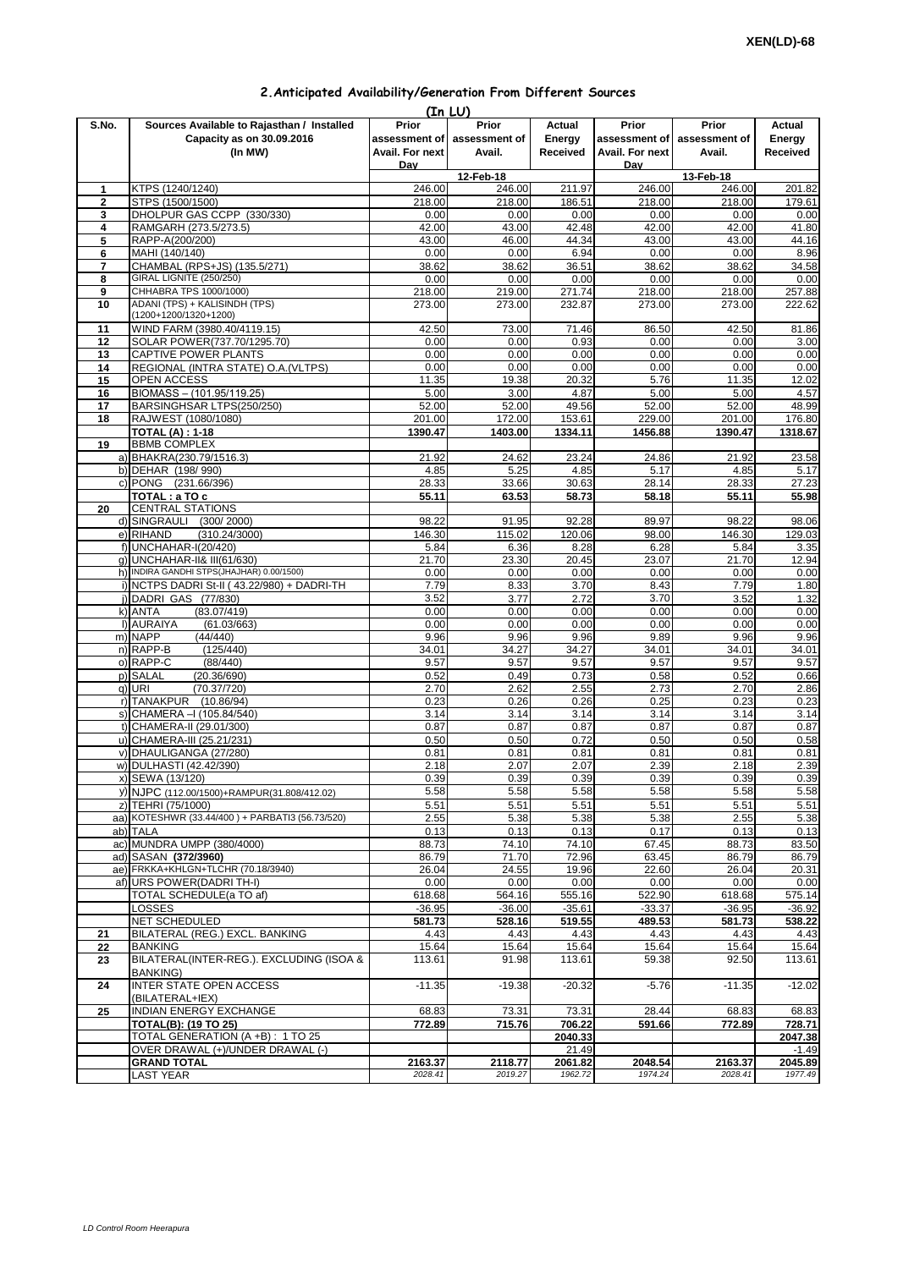| 2. Anticipated Availability/Generation From Different Sources |  |  |  |
|---------------------------------------------------------------|--|--|--|
|---------------------------------------------------------------|--|--|--|

| (In LU)      |                                                                          |                    |                                       |                    |                    |                    |                    |  |  |  |
|--------------|--------------------------------------------------------------------------|--------------------|---------------------------------------|--------------------|--------------------|--------------------|--------------------|--|--|--|
| S.No.        | Sources Available to Rajasthan / Installed                               | Prior              | Prior                                 | <b>Actual</b>      | Prior              | Prior              | Actual             |  |  |  |
|              | Capacity as on 30.09.2016                                                |                    | assessment of assessment of<br>Energy |                    | assessment of      | assessment of      | Energy             |  |  |  |
|              | (In MW)                                                                  | Avail. For next    | Avail.                                | Received           | Avail. For next    | Avail.             | Received           |  |  |  |
|              |                                                                          | Dav                | 12-Feb-18                             |                    | Dav<br>13-Feb-18   |                    |                    |  |  |  |
| 1            | KTPS (1240/1240)                                                         | 246.00             | 246.00                                | 211.97             | 246.00             | 246.00             | 201.82             |  |  |  |
| $\mathbf{2}$ | STPS (1500/1500)                                                         | 218.00             | 218.00                                | 186.51             | 218.00             | 218.00             | 179.61             |  |  |  |
| 3            | DHOLPUR GAS CCPP (330/330)                                               | 0.00               | 0.00                                  | 0.00               | 0.00               | 0.00               | 0.00               |  |  |  |
| 4            | RAMGARH (273.5/273.5)                                                    | 42.00              | 43.00                                 | 42.48              | 42.00              | 42.00              | 41.80              |  |  |  |
| 5            | RAPP-A(200/200)                                                          | 43.00              | 46.00                                 | 44.34              | 43.00              | 43.00              | 44.16              |  |  |  |
| 6            | MAHI (140/140)                                                           | 0.00               | 0.00                                  | 6.94               | 0.00               | 0.00               | 8.96               |  |  |  |
| 7<br>8       | CHAMBAL (RPS+JS) (135.5/271)<br>GIRAL LIGNITE (250/250)                  | 38.62<br>0.00      | 38.62<br>0.00                         | 36.51<br>0.00      | 38.62<br>0.00      | 38.62<br>0.00      | 34.58<br>0.00      |  |  |  |
| 9            | CHHABRA TPS 1000/1000)                                                   | 218.00             | 219.00                                | 271.74             | 218.00             | 218.00             | 257.88             |  |  |  |
| 10           | ADANI (TPS) + KALISINDH (TPS)                                            | 273.00             | 273.00                                | 232.87             | 273.00             | 273.00             | 222.62             |  |  |  |
|              | (1200+1200/1320+1200)                                                    |                    |                                       |                    |                    |                    |                    |  |  |  |
| 11           | WIND FARM (3980.40/4119.15)                                              | 42.50              | 73.00                                 | 71.46              | 86.50              | 42.50              | 81.86              |  |  |  |
| 12           | SOLAR POWER(737.70/1295.70)                                              | 0.00               | 0.00                                  | 0.93               | 0.00               | 0.00               | 3.00               |  |  |  |
| 13           | CAPTIVE POWER PLANTS                                                     | 0.00               | 0.00                                  | 0.00               | 0.00               | 0.00               | 0.00               |  |  |  |
| 14           | REGIONAL (INTRA STATE) O.A. (VLTPS)                                      | 0.00               | 0.00                                  | 0.00               | 0.00               | 0.00               | 0.00               |  |  |  |
| 15           | OPEN ACCESS<br>BIOMASS - (101.95/119.25)                                 | 11.35<br>5.00      | 19.38<br>3.00                         | 20.32<br>4.87      | 5.76<br>5.00       | 11.35<br>5.00      | 12.02<br>4.57      |  |  |  |
| 16<br>17     | BARSINGHSAR LTPS(250/250)                                                | 52.00              | 52.00                                 | 49.56              | 52.00              | 52.00              | 48.99              |  |  |  |
| 18           | RAJWEST (1080/1080)                                                      | 201.00             | 172.00                                | 153.61             | 229.00             | 201.00             | 176.80             |  |  |  |
|              | <b>TOTAL (A): 1-18</b>                                                   | 1390.47            | 1403.00                               | 1334.11            | 1456.88            | 1390.47            | 1318.67            |  |  |  |
| 19           | <b>BBMB COMPLEX</b>                                                      |                    |                                       |                    |                    |                    |                    |  |  |  |
|              | a) BHAKRA(230.79/1516.3)                                                 | 21.92              | 24.62                                 | 23.24              | 24.86              | 21.92              | 23.58              |  |  |  |
|              | b) DEHAR (198/990)                                                       | 4.85               | 5.25                                  | 4.85               | 5.17               | 4.85               | 5.17               |  |  |  |
|              | c) PONG (231.66/396)                                                     | 28.33              | 33.66                                 | 30.63              | 28.14              | 28.33              | 27.23              |  |  |  |
|              | TOTAL : a TO c                                                           | 55.11              | 63.53                                 | 58.73              | 58.18              | 55.11              | 55.98              |  |  |  |
| 20           | <b>CENTRAL STATIONS</b>                                                  |                    |                                       |                    |                    |                    |                    |  |  |  |
|              | d) SINGRAULI (300/2000)                                                  | 98.22              | 91.95                                 | 92.28              | 89.97              | 98.22              | 98.06              |  |  |  |
|              | e) RIHAND<br>(310.24/3000)                                               | 146.30             | 115.02                                | 120.06             | 98.00              | 146.30             | 129.03             |  |  |  |
|              | f) UNCHAHAR-I(20/420)                                                    | 5.84               | 6.36                                  | 8.28               | 6.28               | 5.84               | 3.35               |  |  |  |
|              | q) UNCHAHAR-II& III(61/630)<br>h) INDIRA GANDHI STPS(JHAJHAR) 0.00/1500) | 21.70<br>0.00      | 23.30<br>0.00                         | 20.45<br>0.00      | 23.07<br>0.00      | 21.70<br>0.00      | 12.94<br>0.00      |  |  |  |
|              | i) NCTPS DADRI St-II (43.22/980) + DADRI-TH                              | 7.79               | 8.33                                  | 3.70               | 8.43               | 7.79               | 1.80               |  |  |  |
|              | j) DADRI GAS (77/830)                                                    | 3.52               | 3.77                                  | 2.72               | 3.70               | 3.52               | 1.32               |  |  |  |
|              | k) ANTA<br>(83.07/419)                                                   | 0.00               | 0.00                                  | 0.00               | 0.00               | 0.00               | 0.00               |  |  |  |
|              | I) AURAIYA<br>(61.03/663)                                                | 0.00               | 0.00                                  | 0.00               | 0.00               | 0.00               | 0.00               |  |  |  |
|              | m) NAPP<br>(44/440)                                                      | 9.96               | 9.96                                  | 9.96               | 9.89               | 9.96               | 9.96               |  |  |  |
|              | (125/440)<br>n) RAPP-B                                                   | 34.01              | 34.27                                 | 34.27              | 34.01              | 34.01              | 34.01              |  |  |  |
|              | o) RAPP-C<br>(88/440)                                                    | 9.57               | 9.57                                  | 9.57               | 9.57               | 9.57               | 9.57               |  |  |  |
|              | p) SALAL<br>(20.36/690)                                                  | 0.52               | 0.49                                  | 0.73               | 0.58               | 0.52               | 0.66               |  |  |  |
|              | q) URI<br>(70.37/720)                                                    | 2.70               | 2.62                                  | 2.55               | 2.73               | 2.70               | 2.86               |  |  |  |
|              | r) TANAKPUR (10.86/94)                                                   | 0.23               | 0.26                                  | 0.26               | 0.25               | 0.23               | 0.23               |  |  |  |
|              | s) CHAMERA - (105.84/540)<br>t) CHAMERA-II (29.01/300)                   | 3.14<br>0.87       | 3.14<br>0.87                          | 3.14<br>0.87       | 3.14<br>0.87       | 3.14<br>0.87       | 3.14<br>0.87       |  |  |  |
|              | u) CHAMERA-III (25.21/231)                                               | 0.50               | 0.50                                  | 0.72               | 0.50               | 0.50               | 0.58               |  |  |  |
|              | v) DHAULIGANGA (27/280)                                                  | 0.81               | 0.81                                  | 0.81               | 0.81               | 0.81               | 0.81               |  |  |  |
|              | w) DULHASTI (42.42/390)                                                  | 2.18               | 2.07                                  | 2.07               | 2.39               | 2.18               | 2.39               |  |  |  |
|              | x) SEWA (13/120)                                                         | 0.39               | 0.39                                  | 0.39               | 0.39               | 0.39               | 0.39               |  |  |  |
|              | y) NJPC (112.00/1500) + RAMPUR(31.808/412.02)                            | 5.58               | 5.58                                  | 5.58               | 5.58               | 5.58               | 5.58               |  |  |  |
|              | z) TEHRI (75/1000)                                                       | 5.51               | 5.51                                  | 5.51               | 5.51               | 5.51               | 5.51               |  |  |  |
|              | aa) KOTESHWR (33.44/400) + PARBATI3 (56.73/520)                          | 2.55               | 5.38                                  | 5.38               | 5.38               | 2.55               | 5.38               |  |  |  |
|              | ab) TALA                                                                 | 0.13               | 0.13                                  | 0.13               | 0.17               | 0.13               | 0.13               |  |  |  |
|              | ac) MUNDRA UMPP (380/4000)                                               | 88.73              | 74.10                                 | 74.10              | 67.45              | 88.73              | 83.50              |  |  |  |
|              | ad) SASAN (372/3960)                                                     | 86.79              | 71.70                                 | 72.96              | 63.45              | 86.79              | 86.79              |  |  |  |
|              | ae) FRKKA+KHLGN+TLCHR (70.18/3940)                                       | 26.04              | 24.55                                 | 19.96              | 22.60              | 26.04              | 20.31              |  |  |  |
|              | af) URS POWER(DADRITH-I)                                                 | 0.00               | 0.00                                  | 0.00               | 0.00               | 0.00               | 0.00               |  |  |  |
|              | TOTAL SCHEDULE(a TO af)<br>LOSSES                                        | 618.68<br>$-36.95$ | 564.16<br>$-36.00$                    | 555.16<br>$-35.61$ | 522.90<br>$-33.37$ | 618.68<br>$-36.95$ | 575.14<br>$-36.92$ |  |  |  |
|              | NET SCHEDULED                                                            | 581.73             | 528.16                                | 519.55             | 489.53             | 581.73             | 538.22             |  |  |  |
| 21           | BILATERAL (REG.) EXCL. BANKING                                           | 4.43               | 4.43                                  | 4.43               | 4.43               | 4.43               | 4.43               |  |  |  |
| 22           | <b>BANKING</b>                                                           | 15.64              | 15.64                                 | 15.64              | 15.64              | 15.64              | 15.64              |  |  |  |
| 23           | BILATERAL(INTER-REG.). EXCLUDING (ISOA &                                 | 113.61             | 91.98                                 | 113.61             | 59.38              | 92.50              | 113.61             |  |  |  |
|              | <b>BANKING)</b>                                                          |                    |                                       |                    |                    |                    |                    |  |  |  |
| 24           | INTER STATE OPEN ACCESS                                                  | $-11.35$           | $-19.38$                              | $-20.32$           | $-5.76$            | $-11.35$           | $-12.02$           |  |  |  |
|              | (BILATERAL+IEX)                                                          |                    |                                       |                    |                    |                    |                    |  |  |  |
| 25           | INDIAN ENERGY EXCHANGE                                                   | 68.83              | 73.31                                 | 73.31              | 28.44              | 68.83              | 68.83              |  |  |  |
|              | <b>TOTAL(B): (19 TO 25)</b>                                              | 772.89             | 715.76                                | 706.22             | 591.66             | 772.89             | 728.71             |  |  |  |
|              | TOTAL GENERATION (A +B): 1 TO 25                                         |                    |                                       | 2040.33            |                    |                    | 2047.38            |  |  |  |
|              | OVER DRAWAL (+)/UNDER DRAWAL (-)                                         |                    |                                       | 21.49              |                    |                    | $-1.49$            |  |  |  |
|              | <b>GRAND TOTAL</b><br><b>LAST YEAR</b>                                   | 2163.37<br>2028.41 | 2118.77<br>2019.27                    | 2061.82            | 2048.54<br>1974.24 | 2163.37<br>2028.41 | 2045.89<br>1977.49 |  |  |  |
|              |                                                                          |                    |                                       | 1962.72            |                    |                    |                    |  |  |  |